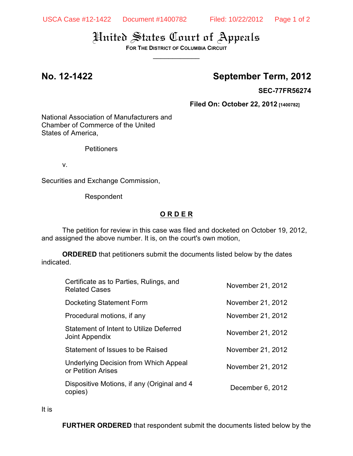# United States Court of Appeals

**FOR THE DISTRICT OF COLUMBIA CIRCUIT**  $\overline{\phantom{a}}$ 

## **No. 12-1422 September Term, 2012**

**SEC-77FR56274**

**Filed On: October 22, 2012 [1400782]**

National Association of Manufacturers and Chamber of Commerce of the United States of America,

**Petitioners** 

v.

Securities and Exchange Commission,

Respondent

### **O R D E R**

The petition for review in this case was filed and docketed on October 19, 2012, and assigned the above number. It is, on the court's own motion,

**ORDERED** that petitioners submit the documents listed below by the dates indicated.

| Certificate as to Parties, Rulings, and<br><b>Related Cases</b>  | November 21, 2012 |
|------------------------------------------------------------------|-------------------|
| Docketing Statement Form                                         | November 21, 2012 |
| Procedural motions, if any                                       | November 21, 2012 |
| <b>Statement of Intent to Utilize Deferred</b><br>Joint Appendix | November 21, 2012 |
| Statement of Issues to be Raised                                 | November 21, 2012 |
| Underlying Decision from Which Appeal<br>or Petition Arises      | November 21, 2012 |
| Dispositive Motions, if any (Original and 4<br>copies)           | December 6, 2012  |
|                                                                  |                   |

It is

**FURTHER ORDERED** that respondent submit the documents listed below by the